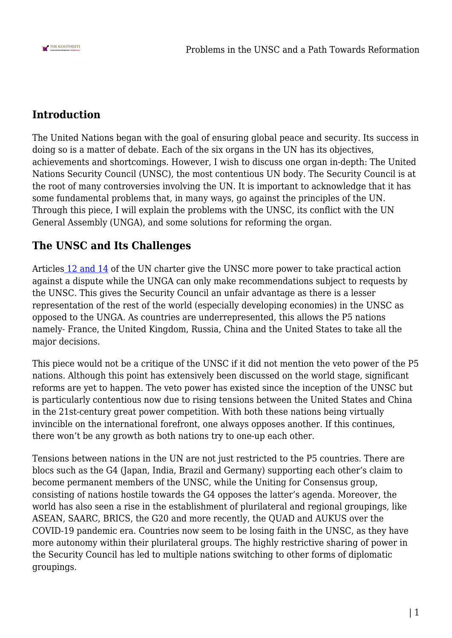

## **Introduction**

The United Nations began with the goal of ensuring global peace and security. Its success in doing so is a matter of debate. Each of the six organs in the UN has its objectives, achievements and shortcomings. However, I wish to discuss one organ in-depth: The United Nations Security Council (UNSC), the most contentious UN body. The Security Council is at the root of many controversies involving the UN. It is important to acknowledge that it has some fundamental problems that, in many ways, go against the principles of the UN. Through this piece, I will explain the problems with the UNSC, its conflict with the UN General Assembly (UNGA), and some solutions for reforming the organ.

## **The UNSC and Its Challenges**

Articles [12 and 14](https://treaties.un.org/doc/publication/ctc/uncharter.pdf) of the UN charter give the UNSC more power to take practical action against a dispute while the UNGA can only make recommendations subject to requests by the UNSC. This gives the Security Council an unfair advantage as there is a lesser representation of the rest of the world (especially developing economies) in the UNSC as opposed to the UNGA. As countries are underrepresented, this allows the P5 nations namely- France, the United Kingdom, Russia, China and the United States to take all the major decisions.

This piece would not be a critique of the UNSC if it did not mention the veto power of the P5 nations. Although this point has extensively been discussed on the world stage, significant reforms are yet to happen. The veto power has existed since the inception of the UNSC but is particularly contentious now due to rising tensions between the United States and China in the 21st-century great power competition. With both these nations being virtually invincible on the international forefront, one always opposes another. If this continues, there won't be any growth as both nations try to one-up each other.

Tensions between nations in the UN are not just restricted to the P5 countries. There are blocs such as the G4 (Japan, India, Brazil and Germany) supporting each other's claim to become permanent members of the UNSC, while the Uniting for Consensus group, consisting of nations hostile towards the G4 opposes the latter's agenda. Moreover, the world has also seen a rise in the establishment of plurilateral and regional groupings, like ASEAN, SAARC, BRICS, the G20 and more recently, the QUAD and AUKUS over the COVID-19 pandemic era. Countries now seem to be losing faith in the UNSC, as they have more autonomy within their plurilateral groups. The highly restrictive sharing of power in the Security Council has led to multiple nations switching to other forms of diplomatic groupings.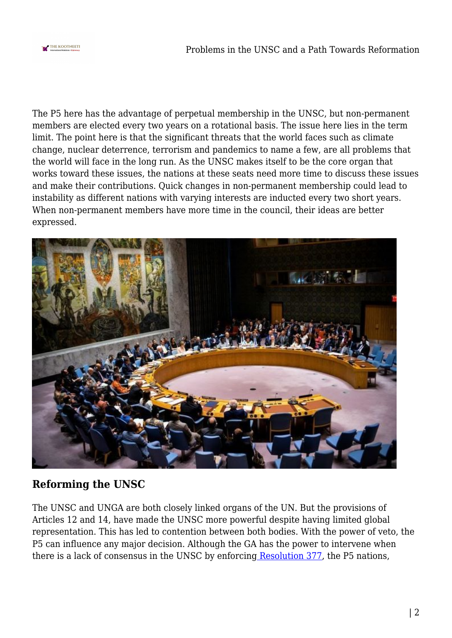

The P5 here has the advantage of perpetual membership in the UNSC, but non-permanent members are elected every two years on a rotational basis. The issue here lies in the term limit. The point here is that the significant threats that the world faces such as climate change, nuclear deterrence, terrorism and pandemics to name a few, are all problems that the world will face in the long run. As the UNSC makes itself to be the core organ that works toward these issues, the nations at these seats need more time to discuss these issues and make their contributions. Quick changes in non-permanent membership could lead to instability as different nations with varying interests are inducted every two short years. When non-permanent members have more time in the council, their ideas are better expressed.



## **Reforming the UNSC**

The UNSC and UNGA are both closely linked organs of the UN. But the provisions of Articles 12 and 14, have made the UNSC more powerful despite having limited global representation. This has led to contention between both bodies. With the power of veto, the P5 can influence any major decision. Although the GA has the power to intervene when there is a lack of consensus in the UNSC by enforcing [Resolution 377](https://ask.un.org/faq/177134), the P5 nations,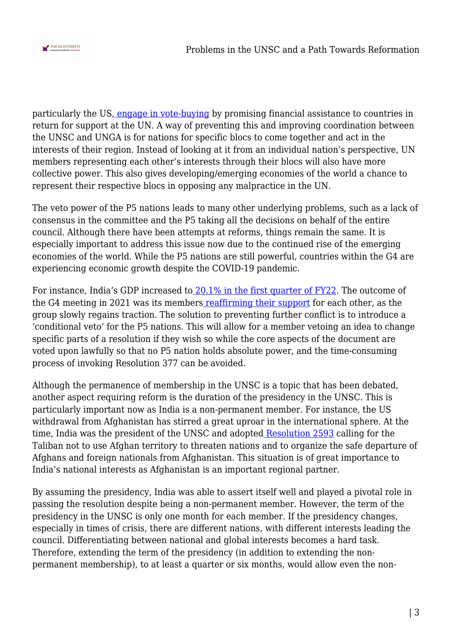

particularly the US, [engage in vote-buying](https://voxeu.org/article/buying-votes-un-security-council) by promising financial assistance to countries in return for support at the UN. A way of preventing this and improving coordination between the UNSC and UNGA is for nations for specific blocs to come together and act in the interests of their region. Instead of looking at it from an individual nation's perspective, UN members representing each other's interests through their blocs will also have more collective power. This also gives developing/emerging economies of the world a chance to represent their respective blocs in opposing any malpractice in the UN.

The veto power of the P5 nations leads to many other underlying problems, such as a lack of consensus in the committee and the P5 taking all the decisions on behalf of the entire council. Although there have been attempts at reforms, things remain the same. It is especially important to address this issue now due to the continued rise of the emerging economies of the world. While the P5 nations are still powerful, countries within the G4 are experiencing economic growth despite the COVID-19 pandemic.

For instance, India's GDP increased to [20.1% in the first quarter of FY22](https://www.business-standard.com/article/economy-policy/india-s-gdp-growth-accelerates-to-20-1-in-q1fy22-on-low-base-121083100995_1.html). The outcome of the G4 meeting in 2021 was its members [reaffirming their support](https://economictimes.indiatimes.com/news/international/world-news/indispensable-to-reform-un-security-council-make-it-more-legitimate-representative-g4-nations/articleshow/86446634.cms) for each other, as the group slowly regains traction. The solution to preventing further conflict is to introduce a 'conditional veto' for the P5 nations. This will allow for a member vetoing an idea to change specific parts of a resolution if they wish so while the core aspects of the document are voted upon lawfully so that no P5 nation holds absolute power, and the time-consuming process of invoking Resolution 377 can be avoided.

Although the permanence of membership in the UNSC is a topic that has been debated, another aspect requiring reform is the duration of the presidency in the UNSC. This is particularly important now as India is a non-permanent member. For instance, the US withdrawal from Afghanistan has stirred a great uproar in the international sphere. At the time, India was the president of the UNSC and adopte[d Resolution 2593](https://www.ndtv.com/world-news/under-indias-presidency-un-security-councils-resolution-on-afghanistan-2525489) calling for the Taliban not to use Afghan territory to threaten nations and to organize the safe departure of Afghans and foreign nationals from Afghanistan. This situation is of great importance to India's national interests as Afghanistan is an important regional partner.

By assuming the presidency, India was able to assert itself well and played a pivotal role in passing the resolution despite being a non-permanent member. However, the term of the presidency in the UNSC is only one month for each member. If the presidency changes, especially in times of crisis, there are different nations, with different interests leading the council. Differentiating between national and global interests becomes a hard task. Therefore, extending the term of the presidency (in addition to extending the nonpermanent membership), to at least a quarter or six months, would allow even the non-